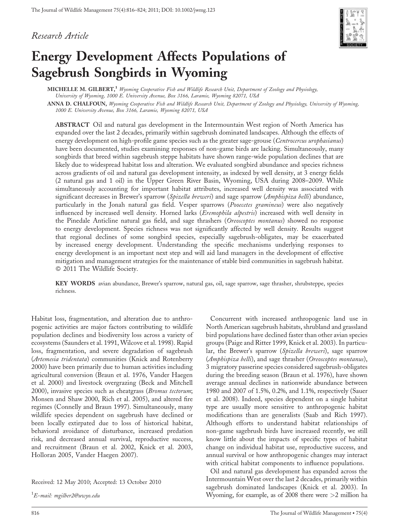# Research Article



# Energy Development Affects Populations of Sagebrush Songbirds in Wyoming

MICHELLE M. GILBERT,<sup>1</sup> Wyoming Cooperative Fish and Wildlife Research Unit, Department of Zoology and Physiology, University of Wyoming, 1000 E. University Avenue, Box 3166, Laramie, Wyoming 82071, USA

ANNA D. CHALFOUN, Wyoming Cooperative Fish and Wildlife Research Unit, Department of Zoology and Physiology, University of Wyoming, 1000 E. University Avenue, Box 3166, Laramie, Wyoming 82071, USA

ABSTRACT Oil and natural gas development in the Intermountain West region of North America has expanded over the last 2 decades, primarily within sagebrush dominated landscapes. Although the effects of energy development on high-profile game species such as the greater sage-grouse (Centrocercus urophasianus) have been documented, studies examining responses of non-game birds are lacking. Simultaneously, many songbirds that breed within sagebrush steppe habitats have shown range-wide population declines that are likely due to widespread habitat loss and alteration. We evaluated songbird abundance and species richness across gradients of oil and natural gas development intensity, as indexed by well density, at 3 energy fields (2 natural gas and 1 oil) in the Upper Green River Basin, Wyoming, USA during 2008–2009. While simultaneously accounting for important habitat attributes, increased well density was associated with significant decreases in Brewer's sparrow (Spizella breweri) and sage sparrow (Amphispiza belli) abundance, particularly in the Jonah natural gas field. Vesper sparrows (Pooecetes gramineus) were also negatively influenced by increased well density. Horned larks (Eremophila alpestris) increased with well density in the Pinedale Anticline natural gas field, and sage thrashers (Oreoscoptes montanus) showed no response to energy development. Species richness was not significantly affected by well density. Results suggest that regional declines of some songbird species, especially sagebrush-obligates, may be exacerbated by increased energy development. Understanding the specific mechanisms underlying responses to energy development is an important next step and will aid land managers in the development of effective mitigation and management strategies for the maintenance of stable bird communities in sagebrush habitat. 2011 The Wildlife Society.

KEY WORDS avian abundance, Brewer's sparrow, natural gas, oil, sage sparrow, sage thrasher, shrubsteppe, species richness.

Habitat loss, fragmentation, and alteration due to anthropogenic activities are major factors contributing to wildlife population declines and biodiversity loss across a variety of ecosystems (Saunders et al. 1991, Wilcove et al. 1998). Rapid loss, fragmentation, and severe degradation of sagebrush (Artemesia tridentata) communities (Knick and Rotenberry 2000) have been primarily due to human activities including agricultural conversion (Braun et al. 1976, Vander Haegen et al. 2000) and livestock overgrazing (Beck and Mitchell 2000), invasive species such as cheatgrass (Bromus tectorum; Monsen and Shaw 2000, Rich et al. 2005), and altered fire regimes (Connelly and Braun 1997). Simultaneously, many wildlife species dependent on sagebrush have declined or been locally extirpated due to loss of historical habitat, behavioral avoidance of disturbance, increased predation risk, and decreased annual survival, reproductive success, and recruitment (Braun et al. 2002, Knick et al. 2003, Holloran 2005, Vander Haegen 2007).

Received: 12 May 2010; Accepted: 13 October 2010

 $^1$ E-mail: mgilber2@uwyo.edu

Concurrent with increased anthropogenic land use in North American sagebrush habitats, shrubland and grassland bird populations have declined faster than other avian species groups (Paige and Ritter 1999, Knick et al. 2003). In particular, the Brewer's sparrow (Spizella breweri), sage sparrow (Amphispiza belli), and sage thrasher (Oreoscoptes montanus), 3 migratory passerine species considered sagebrush-obligates during the breeding season (Braun et al. 1976), have shown average annual declines in nationwide abundance between 1980 and 2007 of 1.5%, 0.2%, and 1.1%, respectively (Sauer et al. 2008). Indeed, species dependent on a single habitat type are usually more sensitive to anthropogenic habitat modifications than are generalists (Saab and Rich 1997). Although efforts to understand habitat relationships of non-game sagebrush birds have increased recently, we still know little about the impacts of specific types of habitat change on individual habitat use, reproductive success, and annual survival or how anthropogenic changes may interact with critical habitat components to influence populations.

Oil and natural gas development has expanded across the Intermountain West over the last 2 decades, primarily within sagebrush dominated landscapes (Knick et al. 2003). In Wyoming, for example, as of 2008 there were >2 million ha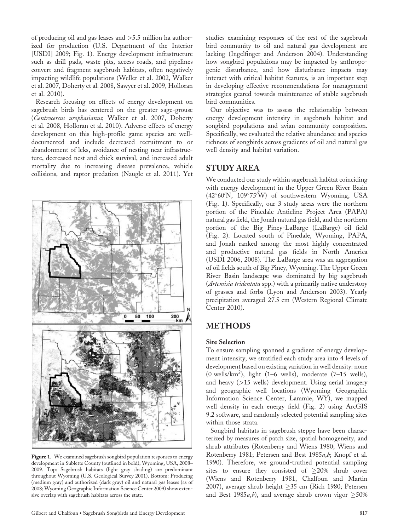of producing oil and gas leases and >5.5 million ha authorized for production (U.S. Department of the Interior [USDI] 2009; Fig. 1). Energy development infrastructure such as drill pads, waste pits, access roads, and pipelines convert and fragment sagebrush habitats, often negatively impacting wildlife populations (Weller et al. 2002, Walker et al. 2007, Doherty et al. 2008, Sawyer et al. 2009, Holloran et al. 2010).

Research focusing on effects of energy development on sagebrush birds has centered on the greater sage-grouse (Centrocercus urophasianus; Walker et al. 2007, Doherty et al. 2008, Holloran et al. 2010). Adverse effects of energy development on this high-profile game species are welldocumented and include decreased recruitment to or abandonment of leks, avoidance of nesting near infrastructure, decreased nest and chick survival, and increased adult mortality due to increasing disease prevalence, vehicle collisions, and raptor predation (Naugle et al. 2011). Yet



Figure 1. We examined sagebrush songbird population responses to energy development in Sublette County (outlined in bold), Wyoming, USA, 2008– 2009. Top: Sagebrush habitats (light gray shading) are predominant throughout Wyoming (U.S. Geological Survey 2001). Bottom: Producing (medium gray) and authorized (dark gray) oil and natural gas leases (as of 2008; Wyoming Geographic Information Science Center 2009) show extensive overlap with sagebrush habitats across the state.

studies examining responses of the rest of the sagebrush bird community to oil and natural gas development are lacking (Ingelfinger and Anderson 2004). Understanding how songbird populations may be impacted by anthropogenic disturbance, and how disturbance impacts may interact with critical habitat features, is an important step in developing effective recommendations for management strategies geared towards maintenance of stable sagebrush bird communities.

Our objective was to assess the relationship between energy development intensity in sagebrush habitat and songbird populations and avian community composition. Specifically, we evaluated the relative abundance and species richness of songbirds across gradients of oil and natural gas well density and habitat variation.

## STUDY AREA

We conducted our study within sagebrush habitat coinciding with energy development in the Upper Green River Basin (42°60'N, 109°75'W) of southwestern Wyoming, USA (Fig. 1). Specifically, our 3 study areas were the northern portion of the Pinedale Anticline Project Area (PAPA) natural gas field, the Jonah natural gas field, and the northern portion of the Big Piney-LaBarge (LaBarge) oil field (Fig. 2). Located south of Pinedale, Wyoming, PAPA, and Jonah ranked among the most highly concentrated and productive natural gas fields in North America (USDI 2006, 2008). The LaBarge area was an aggregation of oil fields south of Big Piney, Wyoming. The Upper Green River Basin landscape was dominated by big sagebrush (Artemisia tridentata spp.) with a primarily native understory of grasses and forbs (Lyon and Anderson 2003). Yearly precipitation averaged 27.5 cm (Western Regional Climate Center 2010).

## METHODS

#### Site Selection

To ensure sampling spanned a gradient of energy development intensity, we stratified each study area into 4 levels of development based on existing variation in well density: none (0 wells/km<sup>2</sup>), light (1–6 wells), moderate (7–15 wells), and heavy (>15 wells) development. Using aerial imagery and geographic well locations (Wyoming Geographic Information Science Center, Laramie, WY), we mapped well density in each energy field (Fig. 2) using ArcGIS 9.2 software, and randomly selected potential sampling sites within those strata.

Songbird habitats in sagebrush steppe have been characterized by measures of patch size, spatial homogeneity, and shrub attributes (Rotenberry and Wiens 1980; Wiens and Rotenberry 1981; Petersen and Best 1985a,b; Knopf et al. 1990). Therefore, we ground-truthed potential sampling sites to ensure they consisted of  $\geq$ 20% shrub cover (Wiens and Rotenberry 1981, Chalfoun and Martin 2007), average shrub height  $\geq$ 35 cm (Rich 1980; Petersen and Best 1985 $a,b$ ), and average shrub crown vigor  $\geq 50\%$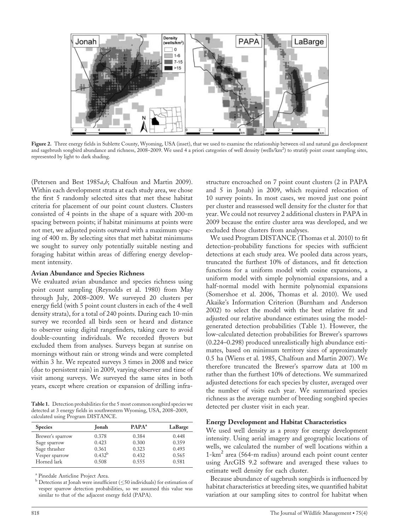

Figure 2. Three energy fields in Sublette County, Wyoming, USA (inset), that we used to examine the relationship between oil and natural gas development and sagebrush songbird abundance and richness, 2008–2009. We used 4 a priori categories of well density (wells/km<sup>2</sup>) to stratify point count sampling sites, represented by light to dark shading.

(Petersen and Best 1985a,b; Chalfoun and Martin 2009). Within each development strata at each study area, we chose the first 5 randomly selected sites that met these habitat criteria for placement of our point count clusters. Clusters consisted of 4 points in the shape of a square with 200-m spacing between points; if habitat minimums at points were not met, we adjusted points outward with a maximum spacing of 400 m. By selecting sites that met habitat minimums we sought to survey only potentially suitable nesting and foraging habitat within areas of differing energy development intensity.

#### Avian Abundance and Species Richness

We evaluated avian abundance and species richness using point count sampling (Reynolds et al. 1980) from May through July, 2008–2009. We surveyed 20 clusters per energy field (with 5 point count clusters in each of the 4 well density strata), for a total of 240 points. During each 10-min survey we recorded all birds seen or heard and distance to observer using digital rangefinders, taking care to avoid double-counting individuals. We recorded flyovers but excluded them from analyses. Surveys began at sunrise on mornings without rain or strong winds and were completed within 3 hr. We repeated surveys 3 times in 2008 and twice (due to persistent rain) in 2009, varying observer and time of visit among surveys. We surveyed the same sites in both years, except where creation or expansion of drilling infra-

Table 1. Detection probabilities for the 5 most common songbird species we detected at 3 energy fields in southwestern Wyoming, USA, 2008–2009, calculated using Program DISTANCE.

| <b>Species</b>   | Jonah           | PAPA <sup>a</sup> | LaBarge |
|------------------|-----------------|-------------------|---------|
| Brewer's sparrow | 0.378           | 0.384             | 0.448   |
| Sage sparrow     | 0.423           | 0.300             | 0.359   |
| Sage thrasher    | 0.361           | 0.323             | 0.493   |
| Vesper sparrow   | $0.432^{\rm b}$ | 0.432             | 0.565   |
| Horned lark      | 0.508           | 0.555             | 0.581   |
|                  |                 |                   |         |

<sup>a</sup> Pinedale Anticline Project Area.

 $b$  Detections at Jonah were insufficient ( $\leq$ 50 individuals) for estimation of vesper sparrow detection probabilities, so we assumed this value was similar to that of the adjacent energy field (PAPA).

structure encroached on 7 point count clusters (2 in PAPA and 5 in Jonah) in 2009, which required relocation of 10 survey points. In most cases, we moved just one point per cluster and reassessed well density for the cluster for that year. We could not resurvey 2 additional clusters in PAPA in 2009 because the entire cluster area was developed, and we excluded those clusters from analyses.

We used Program DISTANCE (Thomas et al. 2010) to fit detection-probability functions for species with sufficient detections at each study area. We pooled data across years, truncated the furthest 10% of distances, and fit detection functions for a uniform model with cosine expansions, a uniform model with simple polynomial expansions, and a half-normal model with hermite polynomial expansions (Somershoe et al. 2006, Thomas et al. 2010). We used Akaike's Information Criterion (Burnham and Anderson 2002) to select the model with the best relative fit and adjusted our relative abundance estimates using the modelgenerated detection probabilities (Table 1). However, the low-calculated detection probabilities for Brewer's sparrows (0.224–0.298) produced unrealistically high abundance estimates, based on minimum territory sizes of approximately 0.5 ha (Wiens et al. 1985, Chalfoun and Martin 2007). We therefore truncated the Brewer's sparrow data at 100 m rather than the furthest 10% of detections. We summarized adjusted detections for each species by cluster, averaged over the number of visits each year. We summarized species richness as the average number of breeding songbird species detected per cluster visit in each year.

#### Energy Development and Habitat Characteristics

We used well density as a proxy for energy development intensity. Using aerial imagery and geographic locations of wells, we calculated the number of well locations within a  $1-km<sup>2</sup>$  area (564-m radius) around each point count center using ArcGIS 9.2 software and averaged these values to estimate well density for each cluster.

Because abundance of sagebrush songbirds is influenced by habitat characteristics at breeding sites, we quantified habitat variation at our sampling sites to control for habitat when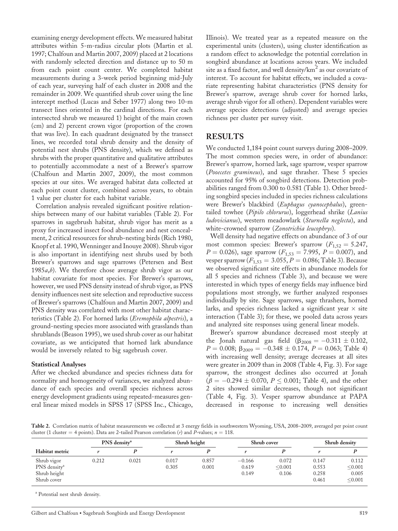examining energy development effects. We measured habitat attributes within 5-m-radius circular plots (Martin et al. 1997; Chalfoun and Martin 2007, 2009) placed at 2 locations with randomly selected direction and distance up to 50 m from each point count center. We completed habitat measurements during a 3-week period beginning mid-July of each year, surveying half of each cluster in 2008 and the remainder in 2009. We quantified shrub cover using the line intercept method (Lucas and Seber 1977) along two 10-m transect lines oriented in the cardinal directions. For each intersected shrub we measured 1) height of the main crown (cm) and 2) percent crown vigor (proportion of the crown that was live). In each quadrant designated by the transect lines, we recorded total shrub density and the density of potential nest shrubs (PNS density), which we defined as shrubs with the proper quantitative and qualitative attributes to potentially accommodate a nest of a Brewer's sparrow (Chalfoun and Martin 2007, 2009), the most common species at our sites. We averaged habitat data collected at each point count cluster, combined across years, to obtain 1 value per cluster for each habitat variable.

Correlation analysis revealed significant positive relationships between many of our habitat variables (Table 2). For sparrows in sagebrush habitat, shrub vigor has merit as a proxy for increased insect food abundance and nest concealment, 2 critical resources for shrub-nesting birds (Rich 1980, Knopf et al. 1990, Wenninger and Inouye 2008). Shrub vigor is also important in identifying nest shrubs used by both Brewer's sparrows and sage sparrows (Petersen and Best 1985 $a,b$ ). We therefore chose average shrub vigor as our habitat covariate for most species. For Brewer's sparrows, however, we used PNS density instead of shrub vigor, as PNS density influences nest site selection and reproductive success of Brewer's sparrows (Chalfoun and Martin 2007, 2009) and PNS density was correlated with most other habitat characteristics (Table 2). For horned larks (Eremophila alpestris), a ground-nesting species more associated with grasslands than shrublands (Beason 1995), we used shrub cover as our habitat covariate, as we anticipated that horned lark abundance would be inversely related to big sagebrush cover.

#### Statistical Analyses

After we checked abundance and species richness data for normality and homogeneity of variances, we analyzed abundance of each species and overall species richness across energy development gradients using repeated-measures general linear mixed models in SPSS 17 (SPSS Inc., Chicago,

Illinois). We treated year as a repeated measure on the experimental units (clusters), using cluster identification as a random effect to acknowledge the potential correlation in songbird abundance at locations across years. We included site as a fixed factor, and well density/ $km^2$  as our covariate of interest. To account for habitat effects, we included a covariate representing habitat characteristics (PNS density for Brewer's sparrow, average shrub cover for horned larks, average shrub vigor for all others). Dependent variables were average species detections (adjusted) and average species richness per cluster per survey visit.

## RESULTS

We conducted 1,184 point count surveys during 2008–2009. The most common species were, in order of abundance: Brewer's sparrow, horned lark, sage sparrow, vesper sparrow (Pooecetes gramineus), and sage thrasher. These 5 species accounted for 95% of songbird detections. Detection probabilities ranged from 0.300 to 0.581 (Table 1). Other breeding songbird species included in species richness calculations were Brewer's blackbird (Euphagus cyanocephalus), greentailed towhee (Pipilo chlorurus), loggerhead shrike (Lanius ludovicianus), western meadowlark (Sturnella neglecta), and white-crowned sparrow (Zonotrichia leucophrys).

Well density had negative effects on abundance of 3 of our most common species: Brewer's sparrow  $(F_{1,52} = 5.247,$  $P = 0.026$ ), sage sparrow ( $F_{1,53} = 7.995$ ,  $P = 0.007$ ), and vesper sparrow ( $F_{1,53} = 3.055, P = 0.086$ ; Table 3). Because we observed significant site effects in abundance models for all 5 species and richness (Table 3), and because we were interested in which types of energy fields may influence bird populations most strongly, we further analyzed responses individually by site. Sage sparrows, sage thrashers, horned larks, and species richness lacked a significant year  $\times$  site interaction (Table 3); for these, we pooled data across years and analyzed site responses using general linear models.

Brewer's sparrow abundance decreased most steeply at the Jonah natural gas field  $(\beta_{2008} = -0.311 \pm 0.102)$ ,  $P = 0.008$ ;  $\beta_{2009} = -0.348 \pm 0.174$ ,  $P = 0.063$ ; Table 4) with increasing well density; average decreases at all sites were greater in 2009 than in 2008 (Table 4, Fig. 3). For sage sparrow, the strongest declines also occurred at Jonah  $(\beta = -0.294 \pm 0.070, P \le 0.001$ ; Table 4), and the other 2 sites showed similar decreases, though not significant (Table 4, Fig. 3). Vesper sparrow abundance at PAPA decreased in response to increasing well densities

Table 2. Correlation matrix of habitat measurements we collected at 3 energy fields in southwestern Wyoming, USA, 2008–2009, averaged per point count cluster (1 cluster = 4 points). Data are 2-tailed Pearson correlation (r) and P-values;  $n = 118$ .

|                                                                        | PNS density <sup>a</sup> |       |                | Shrub height   |                            | Shrub cover               | Shrub density                    |                                      |  |
|------------------------------------------------------------------------|--------------------------|-------|----------------|----------------|----------------------------|---------------------------|----------------------------------|--------------------------------------|--|
| Habitat metric                                                         |                          |       |                |                |                            |                           |                                  |                                      |  |
| Shrub vigor<br>PNS density <sup>a</sup><br>Shrub height<br>Shrub cover | 0.212                    | 0.021 | 0.017<br>0.305 | 0.857<br>0.001 | $-0.166$<br>0.619<br>0.149 | 0.072<br>< 0.001<br>0.106 | 0.147<br>0.553<br>0.258<br>0.461 | 0.112<br>< 0.001<br>0.005<br>< 0.001 |  |

<sup>a</sup> Potential nest shrub density.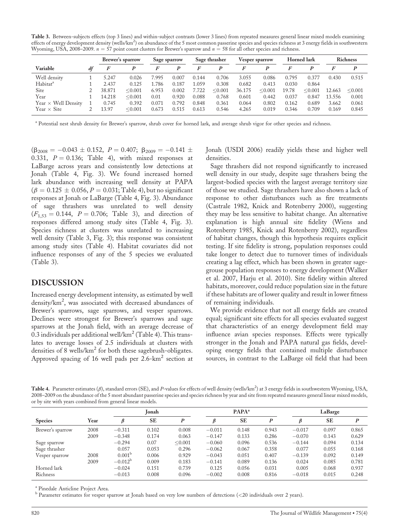Table 3. Between-subjects effects (top 3 lines) and within-subject contrasts (lower 3 lines) from repeated measures general linear mixed models examining effects of energy development density (wells/km<sup>2</sup>) on abundance of the 5 most common passerine species and species richness at 3 energy fields in southwestern Wyoming, USA, 2008–2009.  $n = 57$  point count clusters for Brewer's sparrow and  $n = 58$  for all other species and richness.

|                            |    | Brewer's sparrow |         | Sage sparrow |       | Sage thrasher |         | Vesper sparrow |         | <b>Horned</b> lark |         | <b>Richness</b> |         |
|----------------------------|----|------------------|---------|--------------|-------|---------------|---------|----------------|---------|--------------------|---------|-----------------|---------|
| Variable                   | df |                  |         |              |       |               | D       |                | D       |                    | D       |                 | P       |
| Well density               |    | 5.247            | 0.026   | 7.995        | 0.007 | 0.144         | 0.706   | 3.055          | 0.086   | 0.795              | 0.377   | 0.430           | 0.515   |
| Habitat <sup>a</sup>       |    | 2.437            | 0.125   | 1.786        | 0.187 | 1.059         | 0.308   | 0.682          | 0.413   | 0.030              | 0.864   |                 |         |
| Site                       |    | 38.871           | < 0.001 | 6.953        | 0.002 | 7.722         | < 0.001 | 36.175         | < 0.001 | 19.78              | < 0.001 | 12.663          | < 0.001 |
| Year                       |    | 14.218           | < 0.001 | 0.01         | 0.920 | 0.088         | 0.768   | 0.601          | 0.442   | 0.037              | 0.847   | 13.556          | 0.001   |
| Year $\times$ Well Density |    | 0.745            | 0.392   | 0.071        | 0.792 | 0.848         | 0.361   | 0.064          | 0.802   | 0.162              | 0.689   | 3.662           | 0.061   |
| Year $\times$ Site         |    | 13.97            | < 0.001 | 0.673        | 0.515 | 0.613         | 0.546   | 4.265          | 0.019   | 0.346              | 0.709   | 0.169           | 0.845   |

<sup>a</sup> Potential nest shrub density for Brewer's sparrow, shrub cover for horned lark, and average shrub vigor for other species and richness.

 $(\beta_{2008} = -0.043 \pm 0.152, P = 0.407; \ \beta_{2009} = -0.141 \pm 0.152$ 0.331,  $P = 0.136$ ; Table 4), with mixed responses at LaBarge across years and consistently low detections at Jonah (Table 4, Fig. 3). We found increased horned lark abundance with increasing well density at PAPA  $(\beta = 0.125 \pm 0.056, P = 0.031;$  Table 4), but no significant responses at Jonah or LaBarge (Table 4, Fig. 3). Abundance of sage thrashers was unrelated to well density  $(F_{1,53} = 0.144, P = 0.706;$  Table 3), and direction of responses differed among study sites (Table 4, Fig. 3). Species richness at clusters was unrelated to increasing well density (Table 3, Fig. 3); this response was consistent among study sites (Table 4). Habitat covariates did not influence responses of any of the 5 species we evaluated (Table 3).

#### DISCUSSION

Increased energy development intensity, as estimated by well density/km<sup>2</sup> , was associated with decreased abundances of Brewer's sparrows, sage sparrows, and vesper sparrows. Declines were strongest for Brewer's sparrows and sage sparrows at the Jonah field, with an average decrease of 0.3 individuals per additional well/ $km^2$  (Table 4). This translates to average losses of 2.5 individuals at clusters with densities of 8 wells/km<sup>2</sup> for both these sagebrush-obligates. Approved spacing of 16 well pads per 2.6- $km^2$  section at

Jonah (USDI 2006) readily yields these and higher well densities.

Sage thrashers did not respond significantly to increased well density in our study, despite sage thrashers being the largest-bodied species with the largest average territory size of those we studied. Sage thrashers have also shown a lack of response to other disturbances such as fire treatments (Castrale 1982, Knick and Rotenberry 2000), suggesting they may be less sensitive to habitat change. An alternative explanation is high annual site fidelity (Wiens and Rotenberry 1985, Knick and Rotenberry 2002), regardless of habitat changes, though this hypothesis requires explicit testing. If site fidelity is strong, population responses could take longer to detect due to turnover times of individuals creating a lag effect, which has been shown in greater sagegrouse population responses to energy development (Walker et al. 2007, Harju et al. 2010). Site fidelity within altered habitats, moreover, could reduce population size in the future if these habitats are of lower quality and result in lower fitness of remaining individuals.

We provide evidence that not all energy fields are created equal; significant site effects for all species evaluated suggest that characteristics of an energy development field may influence avian species responses. Effects were typically stronger in the Jonah and PAPA natural gas fields, developing energy fields that contained multiple disturbance sources, in contrast to the LaBarge oil field that had been

Table 4. Parameter estimates ( $\beta$ ), standard errors (SE), and P-values for effects of well density (wells/km<sup>2</sup>) at 3 energy fields in southwestern Wyoming, USA, 2008–2009 on the abundance of the 5 most abundant passerine species and species richness by year and site from repeated measures general linear mixed models, or by site with years combined from general linear models.

|                  |      |                    | Jonah |         | PAPA <sup>a</sup> |       |       | LaBarge  |       |       |  |
|------------------|------|--------------------|-------|---------|-------------------|-------|-------|----------|-------|-------|--|
| <b>Species</b>   | Year |                    | SE    | P       | ß                 | SE    | P     |          | SE    | P     |  |
| Brewer's sparrow | 2008 | $-0.311$           | 0.102 | 0.008   | $-0.011$          | 0.148 | 0.943 | $-0.017$ | 0.097 | 0.865 |  |
|                  | 2009 | $-0.348$           | 0.174 | 0.063   | $-0.147$          | 0.133 | 0.286 | $-0.070$ | 0.143 | 0.629 |  |
| Sage sparrow     |      | $-0.294$           | 0.07  | < 0.001 | $-0.060$          | 0.096 | 0.536 | $-0.144$ | 0.094 | 0.134 |  |
| Sage thrasher    |      | 0.057              | 0.053 | 0.296   | $-0.062$          | 0.067 | 0.358 | 0.077    | 0.055 | 0.168 |  |
| Vesper sparrow   | 2008 | 0.001 <sup>b</sup> | 0.006 | 0.929   | $-0.043$          | 0.051 | 0.407 | $-0.139$ | 0.092 | 0.149 |  |
|                  | 2009 | $-0.012^b$         | 0.009 | 0.183   | $-0.141$          | 0.089 | 0.136 | 0.024    | 0.085 | 0.781 |  |
| Horned lark      |      | $-0.024$           | 0.151 | 0.739   | 0.125             | 0.056 | 0.031 | 0.005    | 0.068 | 0.937 |  |
| Richness         |      | $-0.013$           | 0.008 | 0.096   | $-0.002$          | 0.008 | 0.816 | $-0.018$ | 0.015 | 0.248 |  |

<sup>a</sup> Pinedale Anticline Project Area.

<sup>b</sup> Parameter estimates for vesper sparrow at Jonah based on very low numbers of detections (<20 individuals over 2 years).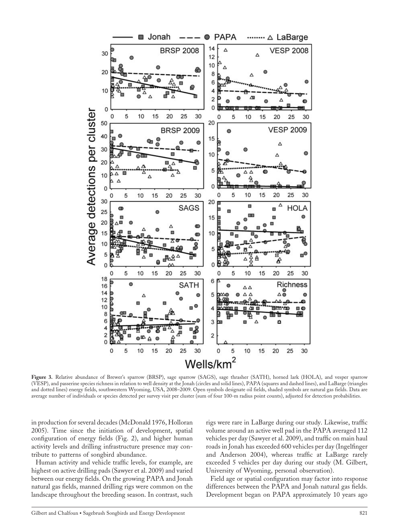

Figure 3. Relative abundance of Brewer's sparrow (BRSP), sage sparrow (SAGS), sage thrasher (SATH), horned lark (HOLA), and vesper sparrow (VESP), and passerine species richness in relation to well density at the Jonah (circles and solid lines), PAPA (squares and dashed lines), and LaBarge (triangles and dotted lines) energy fields, southwestern Wyoming, USA, 2008–2009. Open symbols designate oil fields, shaded symbols are natural gas fields. Data are average number of individuals or species detected per survey visit per cluster (sum of four 100-m radius point counts), adjusted for detection probabilities.

in production for several decades (McDonald 1976, Holloran 2005). Time since the initiation of development, spatial configuration of energy fields (Fig. 2), and higher human activity levels and drilling infrastructure presence may contribute to patterns of songbird abundance.

Human activity and vehicle traffic levels, for example, are highest on active drilling pads (Sawyer et al. 2009) and varied between our energy fields. On the growing PAPA and Jonah natural gas fields, manned drilling rigs were common on the landscape throughout the breeding season. In contrast, such rigs were rare in LaBarge during our study. Likewise, traffic volume around an active well pad in the PAPA averaged 112 vehicles per day (Sawyer et al. 2009), and traffic on main haul roads in Jonah has exceeded 600 vehicles per day (Ingelfinger and Anderson 2004), whereas traffic at LaBarge rarely exceeded 5 vehicles per day during our study (M. Gilbert, University of Wyoming, personal observation).

Field age or spatial configuration may factor into response differences between the PAPA and Jonah natural gas fields. Development began on PAPA approximately 10 years ago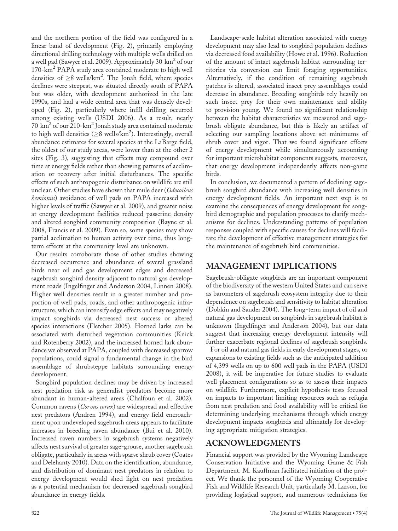and the northern portion of the field was configured in a linear band of development (Fig. 2), primarily employing directional drilling technology with multiple wells drilled on a well pad (Sawyer et al. 2009). Approximately 30  $\mathrm{km}^2$  of our 170-km<sup>2</sup> PAPA study area contained moderate to high well densities of  $\geq$ 8 wells/km<sup>2</sup>. The Jonah field, where species declines were steepest, was situated directly south of PAPA but was older, with development authorized in the late 1990s, and had a wide central area that was densely developed (Fig. 2), particularly where infill drilling occurred among existing wells (USDI 2006). As a result, nearly 70  $\text{km}^2$  of our 210- $\text{km}^2$  Jonah study area contained moderate to high well densities ( $\geq$ 8 wells/km<sup>2</sup>). Interestingly, overall abundance estimates for several species at the LaBarge field, the oldest of our study areas, were lower than at the other 2 sites (Fig. 3), suggesting that effects may compound over time at energy fields rather than showing patterns of acclimation or recovery after initial disturbances. The specific effects of such anthropogenic disturbance on wildlife are still unclear. Other studies have shown that mule deer (Odocoileus hemionus) avoidance of well pads on PAPA increased with higher levels of traffic (Sawyer et al. 2009), and greater noise at energy development facilities reduced passerine density and altered songbird community composition (Bayne et al. 2008, Francis et al. 2009). Even so, some species may show partial acclimation to human activity over time, thus longterm effects at the community level are unknown.

Our results corroborate those of other studies showing decreased occurrence and abundance of several grassland birds near oil and gas development edges and decreased sagebrush songbird density adjacent to natural gas development roads (Ingelfinger and Anderson 2004, Linnen 2008). Higher well densities result in a greater number and proportion of well pads, roads, and other anthropogenic infrastructure, which can intensify edge effects and may negatively impact songbirds via decreased nest success or altered species interactions (Fletcher 2005). Horned larks can be associated with disturbed vegetation communities (Knick and Rotenberry 2002), and the increased horned lark abundance we observed at PAPA, coupled with decreased sparrow populations, could signal a fundamental change in the bird assemblage of shrubsteppe habitats surrounding energy development.

Songbird population declines may be driven by increased nest predation risk as generalist predators become more abundant in human-altered areas (Chalfoun et al. 2002). Common ravens (Corvus corax) are widespread and effective nest predators (Andren 1994), and energy field encroachment upon undeveloped sagebrush areas appears to facilitate increases in breeding raven abundance (Bui et al. 2010). Increased raven numbers in sagebrush systems negatively affects nest survival of greater sage-grouse, another sagebrush obligate, particularly in areas with sparse shrub cover (Coates and Delehanty 2010). Data on the identification, abundance, and distribution of dominant nest predators in relation to energy development would shed light on nest predation as a potential mechanism for decreased sagebrush songbird abundance in energy fields.

Landscape-scale habitat alteration associated with energy development may also lead to songbird population declines via decreased food availability (Howe et al. 1996). Reduction of the amount of intact sagebrush habitat surrounding territories via conversion can limit foraging opportunities. Alternatively, if the condition of remaining sagebrush patches is altered, associated insect prey assemblages could decrease in abundance. Breeding songbirds rely heavily on such insect prey for their own maintenance and ability to provision young. We found no significant relationship between the habitat characteristics we measured and sagebrush obligate abundance, but this is likely an artifact of selecting our sampling locations above set minimums of shrub cover and vigor. That we found significant effects of energy development while simultaneously accounting for important microhabitat components suggests, moreover, that energy development independently affects non-game birds.

In conclusion, we documented a pattern of declining sagebrush songbird abundance with increasing well densities in energy development fields. An important next step is to examine the consequences of energy development for songbird demographic and population processes to clarify mechanisms for declines. Understanding patterns of population responses coupled with specific causes for declines will facilitate the development of effective management strategies for the maintenance of sagebrush bird communities.

# MANAGEMENT IMPLICATIONS

Sagebrush-obligate songbirds are an important component of the biodiversity of the western United States and can serve as barometers of sagebrush ecosystem integrity due to their dependence on sagebrush and sensitivity to habitat alteration (Dobkin and Sauder 2004). The long-term impact of oil and natural gas development on songbirds in sagebrush habitat is unknown (Ingelfinger and Anderson 2004), but our data suggest that increasing energy development intensity will further exacerbate regional declines of sagebrush songbirds.

For oil and natural gas fields in early development stages, or expansions to existing fields such as the anticipated addition of 4,399 wells on up to 600 well pads in the PAPA (USDI 2008), it will be imperative for future studies to evaluate well placement configurations so as to assess their impacts on wildlife. Furthermore, explicit hypothesis tests focused on impacts to important limiting resources such as refugia from nest predation and food availability will be critical for determining underlying mechanisms through which energy development impacts songbirds and ultimately for developing appropriate mitigation strategies.

# ACKNOWLEDGMENTS

Financial support was provided by the Wyoming Landscape Conservation Initiative and the Wyoming Game & Fish Department. M. Kauffman facilitated initiation of the project. We thank the personnel of the Wyoming Cooperative Fish and Wildlife Research Unit, particularly M. Larson, for providing logistical support, and numerous technicians for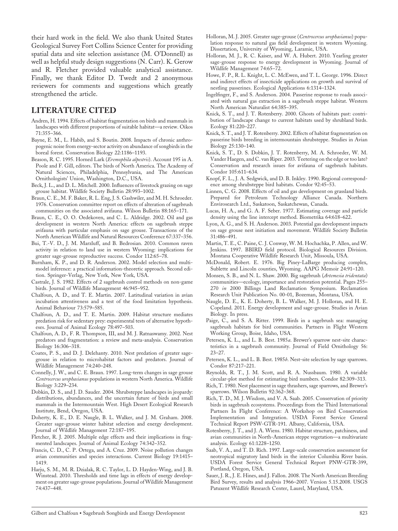their hard work in the field. We also thank United States Geological Survey Fort Collins Science Center for providing spatial data and site selection assistance (M. O'Donnell) as well as helpful study design suggestions (N. Carr). K. Gerow and R. Fletcher provided valuable analytical assistance. Finally, we thank Editor D. Twedt and 2 anonymous reviewers for comments and suggestions which greatly strengthened the article.

# LITERATURE CITED

- Andren, H. 1994. Effects of habitat fragmentation on birds and mammals in landscapes with different proportions of suitable habitat—a review. Oikos 71:355–366.
- Bayne, E. M., L. Habib, and S. Boutin. 2008. Impacts of chronic anthropogenic noise from energy-sector activity on abundance of songbirds in the boreal forest. Conservation Biology 22:1186–1193.
- Beason, R. C. 1995. Horned Lark (Eremophila alpestris). Account 195 in A. Poole and F. Gill, editors. The birds of North America. The Academy of Natural Sciences, Philadelphia, Pennsylvania, and The American Ornithologists' Union, Washington, D.C., USA.
- Beck, J. L., and D. L. Mitchell. 2000. Influences of livestock grazing on sage grouse habitat. Wildlife Society Bulletin 28:993–1002.
- Braun, C. E., M. F. Baker, R. L. Eng, J. S. Gashwiler, and M. H. Schroeder. 1976. Conservation committee report on effects of alteration of sagebrush communities on the associated avifauna. Wilson Bulletin 88:165–171.
- Braun, C. E., O. O. Oedekoven, and C. L. Aldridge. 2002. Oil and gas development in western North America: effects on sagebrush steppe avifauna with particular emphasis on sage grouse. Transactions of the North American Wildlife and Natural Resources Conference 67:337–356.
- Bui, T.-V. D., J. M. Marzluff, and B. Bedrosian. 2010. Common raven activity in relation to land use in western Wyoming: implications for greater sage-grouse reproductive success. Condor 112:65–78.
- Burnham, K. P., and D. R. Anderson. 2002. Model selection and multimodel inference: a practical information-theoretic approach. Second edition. Springer-Verlag, New York, New York, USA.
- Castrale, J. S. 1982. Effects of 2 sagebrush control methods on non-game birds. Journal of Wildlife Management 46:945–952.
- Chalfoun, A. D., and T. E. Martin. 2007. Latitudinal variation in avian incubation attentiveness and a test of the food limitation hypothesis. Animal Behaviour 73:579–585.
- Chalfoun, A. D., and T. E. Martin. 2009. Habitat structure mediates predation risk for sedentary prey: experimental tests of alternative hypotheses. Journal of Animal Ecology 78:497–503.
- Chalfoun, A. D., F. R. Thompson, III, and M. J. Ratnaswamy. 2002. Nest predators and fragmentation: a review and meta-analysis. Conservation Biology 16:306–318.
- Coates, P. S., and D. J. Delehanty. 2010. Nest predation of greater sagegrouse in relation to microhabitat factors and predators. Journal of Wildlife Management 74:240–248.
- Connelly, J. W., and C. E. Braun. 1997. Long-term changes in sage grouse Centrocercus urophasianus populations in western North America. Wildlife Biology 3:229–234.
- Dobkin, D. S., and J. D. Sauder. 2004. Shrubsteppe landscapes in jeopardy: distributions, abundances, and the uncertain future of birds and small mammals in the Intermountain West. High Desert Ecological Research Institute, Bend, Oregon, USA.
- Doherty, K. E., D. E. Naugle, B. L. Walker, and J. M. Graham. 2008. Greater sage-grouse winter habitat selection and energy development. Journal of Wildlife Management 72:187–195.
- Fletcher, R. J. 2005. Multiple edge effects and their implications in fragmented landscapes. Journal of Animal Ecology 74:342–352.
- Francis, C. D., C. P. Ortega, and A. Cruz. 2009. Noise pollution changes avian communities and species interactions. Current Biology 19:1415– 1419.
- Harju, S. M., M. R. Dzialak, R. C. Taylor, L. D. Hayden-Wing, and J. B. Winstead. 2010. Thresholds and time lags in effects of energy development on greater sage-grouse populations. Journal of Wildlife Management 74:437–448.
- Holloran, M. J. 2005. Greater sage-grouse (Centrocercus urophasianus) population response to natural gas field development in western Wyoming. Dissertation, University of Wyoming, Laramie, USA.
- Holloran, M. J., R. C. Kaiser, and W. A. Hubert. 2010. Yearling greater sage-grouse response to energy development in Wyoming. Journal of Wildlife Management 74:65–72.
- Howe, F. P., R. L. Knight, L. C. McEwen, and T. L. George. 1996. Direct and indirect effects of insecticide applications on growth and survival of nestling passerines. Ecological Applications 6:1314–1324.
- Ingelfinger, F., and S. Anderson. 2004. Passerine response to roads associated with natural gas extraction in a sagebrush steppe habitat. Western North American Naturalist 64:385–395.
- Knick, S. T., and J. T. Rotenberry. 2000. Ghosts of habitats past: contribution of landscape change to current habitats used by shrubland birds. Ecology 81:220–227.
- Knick, S. T., and J. T. Rotenberry. 2002. Effects of habitat fragmentation on passerine birds breeding in intermountain shrubsteppe. Studies in Avian Biology 25:130–140.
- Knick, S. T., D. S. Dobkin, J. T. Rotenberry, M. A. Schroeder, W. M. Vander Haegen, and C. van Riper. 2003. Teetering on the edge or too late? Conservation and research issues for avifauna of sagebrush habitats. Condor 105:611–634.
- Knopf, F. L., J. A. Sedgwick, and D. B. Inkley. 1990. Regional correspondence among shrubsteppe bird habitats. Condor 92:45–53.
- Linnen, C. G. 2008. Effects of oil and gas development on grassland birds. Prepared for Petroleum Technology Alliance Canada. Northern Envirosearch Ltd., Saskatoon, Saskatchewan, Canada.
- Lucas, H. A., and G. A. F. Seber. 1977. Estimating coverage and particle density using the line intercept method. Biometrika 64:618–622.
- Lyon, A. G., and S. H. Anderson. 2003. Potential gas development impacts on sage grouse nest initiation and movement. Wildlife Society Bulletin 31:486–491.
- Martin, T. E., C. Paine, C. J. Conway, W. M. Hochachka, P. Allen, and W. Jenkins. 1997. BBIRD field protocol. Biological Resources Division. Montana Cooperative Wildlife Research Unit, Missoula, USA.
- McDonald, Robert. E. 1976. Big Piney-LaBarge producing complex, Sublette and Lincoln counties, Wyoming. AAPG Memoir 24:91–120.
- Monsen, S. B., and N. L. Shaw. 2000. Big sagebrush (Artemesia tridentata) communities—ecology, importance and restoration potential. Pages 255– 270 in 2000 Billings Land Reclamation Symposium. Reclamation Research Unit Publication No. 00-01, Bozeman, Montana, USA.
- Naugle, D. E., K. E. Doherty, B. L. Walker, M. J. Holloran, and H. E. Copeland. 2011. Energy development and sage-grouse. Studies in Avian Biology. In press.
- Paige, C., and S. A. Ritter. 1999. Birds in a sagebrush sea: managing sagebrush habitats for bird communities. Partners in Flight Western Working Group, Boise, Idaho, USA.
- Petersen, K. L., and L. B. Best. 1985a. Brewer's sparrow nest-site characteristics in a sagebrush community. Journal of Field Ornithology 56: 23–27.
- Petersen, K. L., and L. B. Best. 1985b. Nest-site selection by sage sparrows. Condor 87:217–221.
- Reynolds, R. T., J. M. Scott, and R. A. Nussbaum. 1980. A variable circular-plot method for estimating bird numbers. Condor 82:309–313.
- Rich, T. 1980. Nest placement in sage thrashers, sage sparrows, and Brewer's sparrows. Wilson Bulletin 92:362–368.
- Rich, T. D., M. J. Wisdom, and V. A. Saab. 2005. Conservation of priority birds in sagebrush ecosystems. Proceedings from the Third International Partners In Flight Conference: A Workshop on Bird Conservation Implementation and Integration. USDA Forest Service General Technical Report PSW-GTR-191. Albany, California, USA.
- Rotenberry, J. T., and J. A. Wiens. 1980. Habitat structure, patchiness, and avian communities in North-American steppe vegetation—a multivariate analysis. Ecology 61:1228–1250.
- Saab, V. A., and T. D. Rich. 1997. Large-scale conservation assessment for neotropical migratory land birds in the interior Columbia River basin. USDA Forest Service General Technical Report PNW-GTR-399, Portland, Oregon, USA.
- Sauer, J. R., J. E. Hines, and J. Fallon. 2008. The North American Breeding Bird Survey, results and analysis 1966–2007. Version 5.15.2008. USGS Patuxent Wildlife Research Center, Laurel, Maryland, USA.